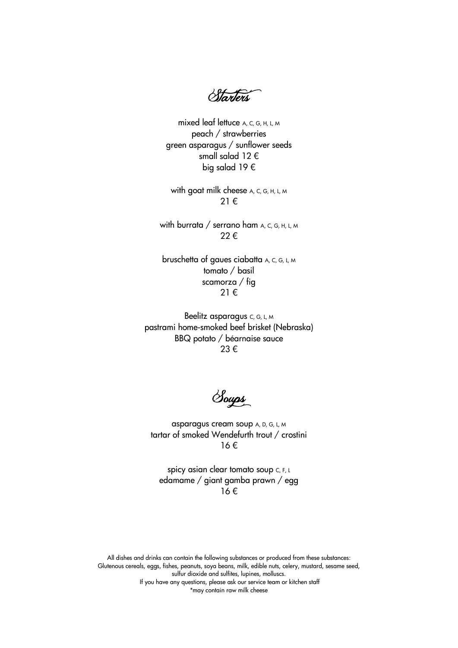*<u>Starters</u>* 

mixed leaf lettuce A, C, G, H, L, M peach / strawberries green asparagus / sunflower seeds small salad 12 € big salad 19 €

with goat milk cheese A, C, G, H, L, M 21 €

with burrata / serrano ham  $A$ , C, G, H, L, M 22 €

bruschetta of gaues ciabatta A, C, G, L, M tomato / basil scamorza / fig 21 €

Beelitz asparagus C, G, L, M pastrami home-smoked beef brisket (Nebraska) BBQ potato / béarnaise sauce 23 €

Soups

asparagus cream soup A, D, G, L, M tartar of smoked Wendefurth trout / crostini 16 €

spicy asian clear tomato soup C, F, L edamame / giant gamba prawn / egg 16 €

All dishes and drinks can contain the following substances or produced from these substances: Glutenous cereals, eggs, fishes, peanuts, soya beans, milk, edible nuts, celery, mustard, sesame seed, sulfur dioxide and sulfites, lupines, molluscs. If you have any questions, please ask our service team or kitchen staff

\*may contain raw milk cheese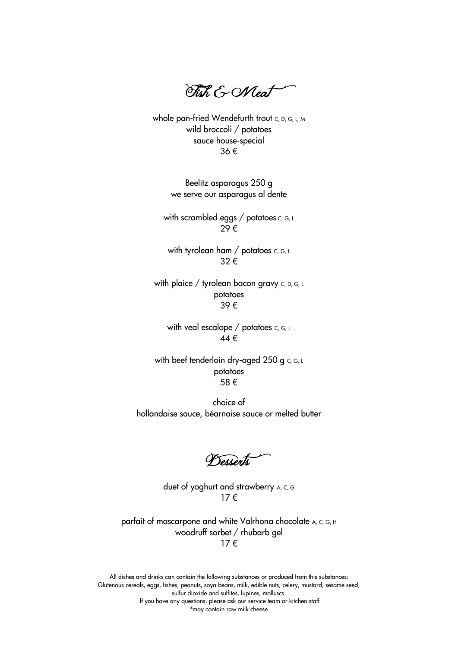Fish & Meat

whole pan-fried Wendefurth trout C, D, G, L, M wild broccoli / potatoes sauce house-special 36 €

> Beelitz asparagus 250 g we serve our asparagus al dente

with scrambled eggs / potatoes  $c, c, L$ 29 €

with tyrolean ham / potatoes  $c, c, u$ 32 €

with plaice / tyrolean bacon gravy c, D, G, L potatoes 39 €

with veal escalope / potatoes  $c, c, L$ 44 €

with beef tenderloin dry-aged 250 g c, G, L potatoes 58 €

choice of hollandaise sauce, béarnaise sauce or melted butter

**Desserts** 

duet of yoghurt and strawberry A, C, G 17 €

parfait of mascarpone and white Valrhona chocolate A, C, G, H woodruff sorbet / rhubarb gel 17 €

All dishes and drinks can contain the following substances or produced from this substances: Glutenous cereals, eggs, fishes, peanuts, soya beans, milk, edible nuts, celery, mustard, sesame seed, sulfur dioxide and sulfites, lupines, molluscs. If you have any questions, please ask our service team or kitchen staff \*may contain raw milk cheese